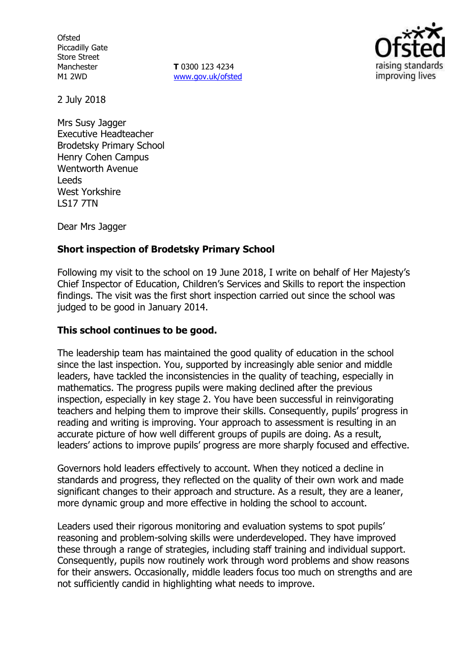**Ofsted** Piccadilly Gate Store Street Manchester M1 2WD

**T** 0300 123 4234 www.gov.uk/ofsted



2 July 2018

Mrs Susy Jagger Executive Headteacher Brodetsky Primary School Henry Cohen Campus Wentworth Avenue Leeds West Yorkshire LS17 7TN

Dear Mrs Jagger

# **Short inspection of Brodetsky Primary School**

Following my visit to the school on 19 June 2018, I write on behalf of Her Majesty's Chief Inspector of Education, Children's Services and Skills to report the inspection findings. The visit was the first short inspection carried out since the school was judged to be good in January 2014.

# **This school continues to be good.**

The leadership team has maintained the good quality of education in the school since the last inspection. You, supported by increasingly able senior and middle leaders, have tackled the inconsistencies in the quality of teaching, especially in mathematics. The progress pupils were making declined after the previous inspection, especially in key stage 2. You have been successful in reinvigorating teachers and helping them to improve their skills. Consequently, pupils' progress in reading and writing is improving. Your approach to assessment is resulting in an accurate picture of how well different groups of pupils are doing. As a result, leaders' actions to improve pupils' progress are more sharply focused and effective.

Governors hold leaders effectively to account. When they noticed a decline in standards and progress, they reflected on the quality of their own work and made significant changes to their approach and structure. As a result, they are a leaner, more dynamic group and more effective in holding the school to account.

Leaders used their rigorous monitoring and evaluation systems to spot pupils' reasoning and problem-solving skills were underdeveloped. They have improved these through a range of strategies, including staff training and individual support. Consequently, pupils now routinely work through word problems and show reasons for their answers. Occasionally, middle leaders focus too much on strengths and are not sufficiently candid in highlighting what needs to improve.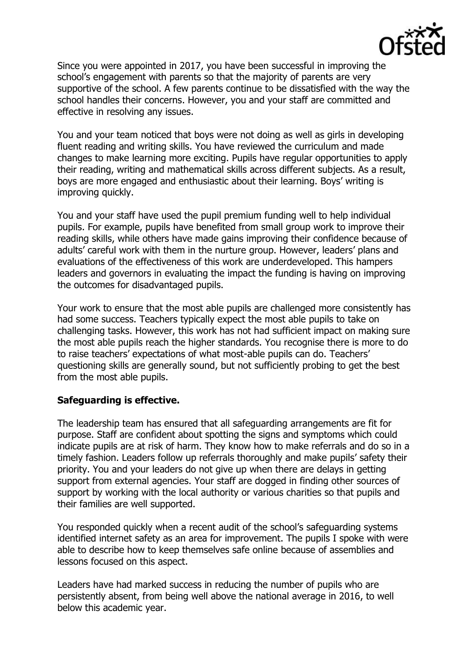

Since you were appointed in 2017, you have been successful in improving the school's engagement with parents so that the majority of parents are very supportive of the school. A few parents continue to be dissatisfied with the way the school handles their concerns. However, you and your staff are committed and effective in resolving any issues.

You and your team noticed that boys were not doing as well as girls in developing fluent reading and writing skills. You have reviewed the curriculum and made changes to make learning more exciting. Pupils have regular opportunities to apply their reading, writing and mathematical skills across different subjects. As a result, boys are more engaged and enthusiastic about their learning. Boys' writing is improving quickly.

You and your staff have used the pupil premium funding well to help individual pupils. For example, pupils have benefited from small group work to improve their reading skills, while others have made gains improving their confidence because of adults' careful work with them in the nurture group. However, leaders' plans and evaluations of the effectiveness of this work are underdeveloped. This hampers leaders and governors in evaluating the impact the funding is having on improving the outcomes for disadvantaged pupils.

Your work to ensure that the most able pupils are challenged more consistently has had some success. Teachers typically expect the most able pupils to take on challenging tasks. However, this work has not had sufficient impact on making sure the most able pupils reach the higher standards. You recognise there is more to do to raise teachers' expectations of what most-able pupils can do. Teachers' questioning skills are generally sound, but not sufficiently probing to get the best from the most able pupils.

### **Safeguarding is effective.**

The leadership team has ensured that all safeguarding arrangements are fit for purpose. Staff are confident about spotting the signs and symptoms which could indicate pupils are at risk of harm. They know how to make referrals and do so in a timely fashion. Leaders follow up referrals thoroughly and make pupils' safety their priority. You and your leaders do not give up when there are delays in getting support from external agencies. Your staff are dogged in finding other sources of support by working with the local authority or various charities so that pupils and their families are well supported.

You responded quickly when a recent audit of the school's safeguarding systems identified internet safety as an area for improvement. The pupils I spoke with were able to describe how to keep themselves safe online because of assemblies and lessons focused on this aspect.

Leaders have had marked success in reducing the number of pupils who are persistently absent, from being well above the national average in 2016, to well below this academic year.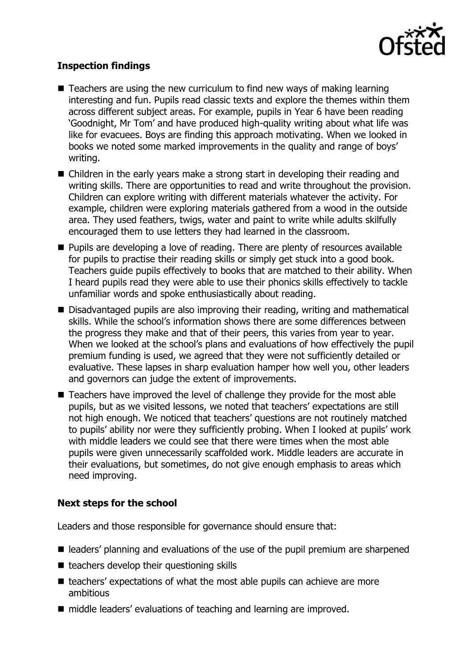

# **Inspection findings**

- Teachers are using the new curriculum to find new ways of making learning interesting and fun. Pupils read classic texts and explore the themes within them across different subject areas. For example, pupils in Year 6 have been reading 'Goodnight, Mr Tom' and have produced high-quality writing about what life was like for evacuees. Boys are finding this approach motivating. When we looked in books we noted some marked improvements in the quality and range of boys' writing.
- Children in the early years make a strong start in developing their reading and writing skills. There are opportunities to read and write throughout the provision. Children can explore writing with different materials whatever the activity. For example, children were exploring materials gathered from a wood in the outside area. They used feathers, twigs, water and paint to write while adults skilfully encouraged them to use letters they had learned in the classroom.
- **Pupils are developing a love of reading. There are plenty of resources available** for pupils to practise their reading skills or simply get stuck into a good book. Teachers guide pupils effectively to books that are matched to their ability. When I heard pupils read they were able to use their phonics skills effectively to tackle unfamiliar words and spoke enthusiastically about reading.
- Disadvantaged pupils are also improving their reading, writing and mathematical skills. While the school's information shows there are some differences between the progress they make and that of their peers, this varies from year to year. When we looked at the school's plans and evaluations of how effectively the pupil premium funding is used, we agreed that they were not sufficiently detailed or evaluative. These lapses in sharp evaluation hamper how well you, other leaders and governors can judge the extent of improvements.
- Teachers have improved the level of challenge they provide for the most able pupils, but as we visited lessons, we noted that teachers' expectations are still not high enough. We noticed that teachers' questions are not routinely matched to pupils' ability nor were they sufficiently probing. When I looked at pupils' work with middle leaders we could see that there were times when the most able pupils were given unnecessarily scaffolded work. Middle leaders are accurate in their evaluations, but sometimes, do not give enough emphasis to areas which need improving.

# **Next steps for the school**

Leaders and those responsible for governance should ensure that:

- leaders' planning and evaluations of the use of the pupil premium are sharpened
- $\blacksquare$  teachers develop their questioning skills
- $\blacksquare$  teachers' expectations of what the most able pupils can achieve are more ambitious
- middle leaders' evaluations of teaching and learning are improved.